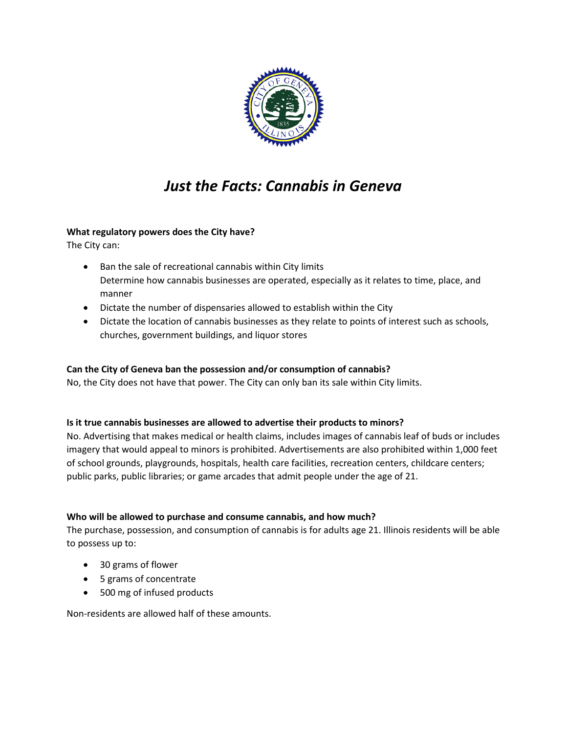

# *Just the Facts: Cannabis in Geneva*

# **What regulatory powers does the City have?**

The City can:

- Ban the sale of recreational cannabis within City limits Determine how cannabis businesses are operated, especially as it relates to time, place, and manner
- Dictate the number of dispensaries allowed to establish within the City
- Dictate the location of cannabis businesses as they relate to points of interest such as schools, churches, government buildings, and liquor stores

## **Can the City of Geneva ban the possession and/or consumption of cannabis?**

No, the City does not have that power. The City can only ban its sale within City limits.

### **Is it true cannabis businesses are allowed to advertise their products to minors?**

No. Advertising that makes medical or health claims, includes images of cannabis leaf of buds or includes imagery that would appeal to minors is prohibited. Advertisements are also prohibited within 1,000 feet of school grounds, playgrounds, hospitals, health care facilities, recreation centers, childcare centers; public parks, public libraries; or game arcades that admit people under the age of 21.

## **Who will be allowed to purchase and consume cannabis, and how much?**

The purchase, possession, and consumption of cannabis is for adults age 21. Illinois residents will be able to possess up to:

- 30 grams of flower
- 5 grams of concentrate
- 500 mg of infused products

Non-residents are allowed half of these amounts.